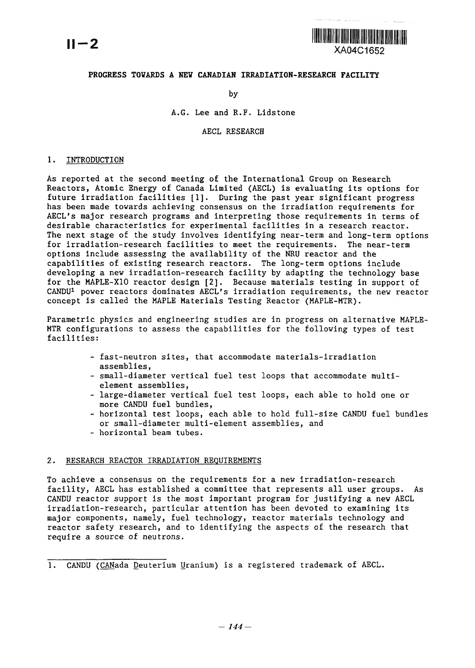

# **PROGRESS TOVARDS A NEV CANADIAN IRRADTATION-RESEARCH FACILITY**

by

A.G. Lee and R.F. Lidstone

AECL RESEARCH

### 1. INTRODUCTION

As reported at the second meeting of the International Group on Research Reactors, Atomic Energy of Canada Limited (AECL) is evaluating its options for future irradiation facilities [1]. During the past year significant progress has been made towards achieving consensus on the irradiation requirements for AECL's major research programs and interpreting those requirements in terms of desirable characteristics for experimental facilities in a research reactor. The next stage of the study involves identifying near-term and long-term options for irradiation-research facilities to meet the requirements. The near-term options include assessing the availability of the NRU reactor and the capabilities of existing research reactors. The long-term options include developing a new irradiation-research facility by adapting the technology base for the MAPLE-X10 reactor design [2]. Because materials testing in support of CANDU1 power reactors dominates AECL's irradiation requirements, the new reactor concept is called the MAPLE Materials Testing Reactor (MAPLE-MTR).

Parametric physics and engineering studies are in progress on alternative MAPLE-MTR configurations to assess the capabilities for the following types of test facilities:

- fast-neutron sites, that accommodate materials-irradiation assemblies,
- small-diameter vertical fuel test loops that accommodate multielement assemblies,
- large-diameter vertical fuel test loops, each able to hold one or more CANDU fuel bundles,
- horizontal test loops, each able to hold full-size CANDU fuel bundles or small-diameter multi-element assemblies, and
- horizontal beam tubes.

### 2. RESEARCH REACTOR IRRADIATION REQUIREMENTS

To achieve a consensus on the requirements for a new irradiation-research facility, AECL has established a committee that represents all user groups. As CANDU reactor support is the most important program for justifying a new AECL irradiation-research, particular attention has been devoted to examining its major components, namely, fuel technology, reactor materials technology and reactor safety research, and to identifying the aspects of the research that require a source of neutrons.

1. CANDU (CANada Deuterium Uranium) is a registered trademark of AECL.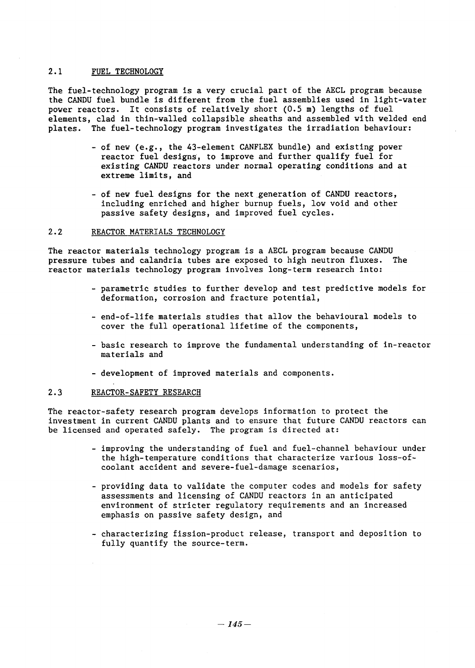### 2.1 FUEL TECHNOLOGY

The fuel-technology program is a very crucial part of the AECL program because the CANDU fuel bundle is different from the fuel assemblies used in light-water power reactors. It consists of relatively short (0.5 m) lengths of fuel elements, clad in thin-walled collapsible sheaths and assembled with welded end plates. The fuel-technology program investigates the irradiation behaviour:

- of new (e.g., the 43-element CANFLEX bundle) and existing power reactor fuel designs, to improve and further qualify fuel for existing CANDU reactors under normal operating conditions and at extreme limits, and
- of new fuel designs for the next.generation of CANDU reactors, including enriched and higher burnup fuels, low void and other passive safety designs, and improved fuel cycles.

### 2.2 REACTOR MATERIALS TECHNOLOGY

The reactor materials technology program is a AECL program because CANDU pressure tubes and calandria tubes are exposed to high neutron fluxes. The pressure tubes and calandria tubes are exposed to high neutron fluxes. reactor materials technology program involves long-term research into:

- parametric studies to further develop and test predictive models for deformation, corrosion and fracture potential,
- end-of-life materials studies that allow the behavioural models to cover the full operational lifetime of the components,
- basic research to improve the fundamental understanding of in-reactor materials and
- development of improved materials and components.

# 2.3 REACTOR-SAFETY RESEARCH

The reactor-safety research program develops information to protect the investment in current CANDU plants and to ensure that future CANDU reactors can be licensed and operated safely. The program is directed at:

- improving the understanding of fuel and fuel-channel behaviour under the high-temperature conditions that characterize various loss-ofcoolant accident and severe-fuel-damage scenarios,
- providing data to validate the computer codes and models for safety assessments and licensing of CANDU reactors in an anticipated environment of stricter regulatory requirements and an increased emphasis on passive safety design, and
- characterizing fission-product release, transport and deposition to fully quantify the source-term.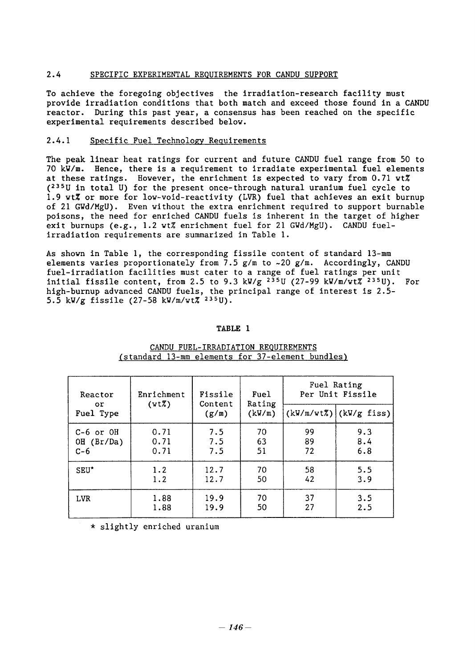## 2.4 SPECIFIC EXPERIMENTAL REQUIREMENTS FOR CANDU SUPPORT

To achieve the foregoing objectives the irradiation-research facility must provide irradiation conditions that both match and exceed those found in a CANDU reactor. During this past year, a consensus has been reached on the specific experimental requirements described below.

### 2.4.1 Specific Fuel Technology Requirements

The peak linear heat ratings for current and future CANDU fuel range from 50 to 70 kW/m. Hence, there is a requirement to irradiate experimental fuel elements at these ratings. However, the enrichment is expected to vary from 0.71 wt% **(235U** in total U) for the present once-through natural uranium fuel cycle to 1.9 wtX or more for low-void-reactivity (VR) fuel that achieves an exit burnup of 21 GWd/MgU). Even without the extra enrichment required to support burnable poisons, the need for enriched CANDU fuels is inherent in the target of higher exit burnups (e.g., 1.2 wt% enrichment fuel for 21 GWd/MgU). CANDU fuelirradiation requirements are summarized in Table 1.

As shown in Table 1, the corresponding fissile content of standard 13-mm elements varies proportionately from 7.5 g/m to ~20 g/m. Accordingly, CANDU fuel-irradiation facilities must cater to a range of fuel ratings per unit initial fissile content, from 2.5 to 9.3 kW/g  $2^{35}$ U (27-99 kW/m/wt $\frac{7}{8}$   $2^{35}$ U). For high-burnup advanced CANDU fuels, the principal range of interest is 2.5nigh-barnup advanced ckibb ruers, the<br>5.5 kW/g fissile (27-58 kW/m/wt% <sup>235</sup>U)

# **TABLE 1**

| Reactor<br>or.<br>Fuel Type | Enrichment<br>(vtZ) | Fissile<br>Content<br>(g/m) | Fuel<br>Rating<br>(kW/m) | Fuel Rating<br>Per Unit Fissile |                          |  |  |
|-----------------------------|---------------------|-----------------------------|--------------------------|---------------------------------|--------------------------|--|--|
|                             |                     |                             |                          |                                 | $(kW/m/vtZ)$ (kW/g fiss) |  |  |
| $C-6$ or $OH$               | 0.71                | 7.5                         | 70                       | 99                              | 9.3                      |  |  |
| OH (Br/Da)                  | 0.71                | 7.5                         | 63                       | 89                              | 8.4                      |  |  |
| $C-6$                       | 0.71                | 7.5                         | 51                       | 72                              | 6.8                      |  |  |
| SEU <sup>*</sup>            | 1.2                 | 12.7                        | 70                       | 58                              | 5.5                      |  |  |
|                             | 1.2                 | 12.7                        | 50                       | 42                              | 3.9                      |  |  |
| <b>LVR</b>                  | 1.88                | 19.9                        | 70                       | 37                              | 3.5                      |  |  |
|                             | 1.88                | 19.9                        | 50                       | 27                              | 2.5                      |  |  |

# CANDU FUEL-IRRADIATION REQUIREMENTS (standard 13-mm elements for 37-element bundles)

slightly enriched uranium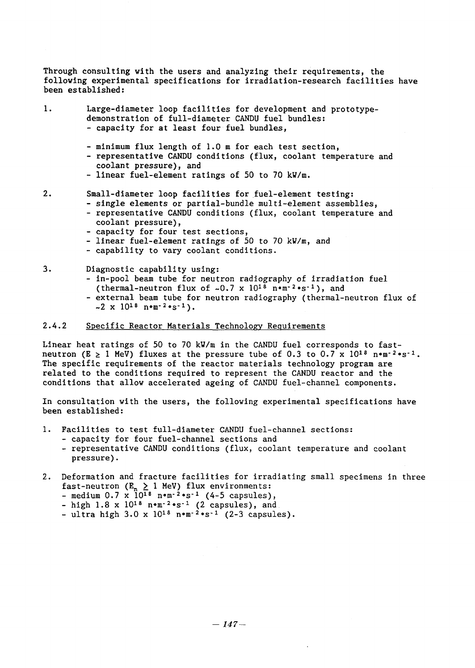Through consulting with the users and analyzing their requirements, the following experimental specifications for irradiation-research facilities have been established:

- 1. Large-diameter loop facilities for development and prototypedemonstration of full-diameter CANDU fuel bundles: - capacity for **at** least four fuel bundles,
	- minimum flux length of 1.0 m for each test section,
	- representative CANDU conditions (flux, coolant temperature and coolant pressure), and
	- linear fuel-element ratings of 50 to 70 kW/m.
- 2. Small-diameter loop facilities for fuel-element testing: - single elements or partial-bundle multi-element assemblies,
	- representative CANDU conditions (flux, coolant temperature and coolant pressure),
	- capacity for four test sections,
	- linear fuel-element ratings of 50 to 70 kW/m, and
	- capability to vary coolant conditions.
- 3. Diagnostic capability using:
	- in-pool beam tube for neutron radiography of irradiation fuel (thermal-neutron flux of  $\sim 0.7 \times 10^{18} \text{ nm}^{-2} \cdot \text{s}^{-1}$ ), and
	- external beam tube for neutron radiography (thermal-neutron flux of  $\sim$ 2 x 10<sup>18</sup> n•m<sup>-2</sup>·s<sup>-1</sup>).

### 2.4.2 Specific Reactor Materials Technology Requirements

Linear heat ratings of 50 to 70 kW/m in the CANDU fuel corresponds to fastneutron (E  $\geq$  1 MeV) fluxes at the pressure tube of 0.3 to 0.7 x 10<sup>18</sup> n.m-<sup>2</sup>.s<sup>-1</sup>. The specific requirements of the reactor materials technology program are related to the conditions required to represent the CANDU reactor and the conditions that allow accelerated ageing of CANDU fuel-channel components.

In consultation with the users, the following experimental specifications have been established:

- 1. Facilities to test full-diameter CANDU fuel-channel sections:
	- capacity for four fuel-channel sections and
	- representative CANDU conditions (flux, coolant temperature and coolant pressure).
- 2. Deformation and fracture facilities for irradiating small specimens in three fast-neutron ( $E_n \geq 1$  MeV) flux environments
	- $\frac{1}{2}$  medium 0.7 x  $10^{18}$  n<sup>o</sup>m<sup>-2</sup>\*s<sup>-1</sup> (4-5 capsules)
	- high  $1.8 \times 10^{18}$  nom<sup>-2</sup>os<sup>-1</sup> (2 capsules), and
	- ultra high  $3.0 \times 10^{18}$  nom<sup>-2</sup>os<sup>-1</sup> (2-3 capsules).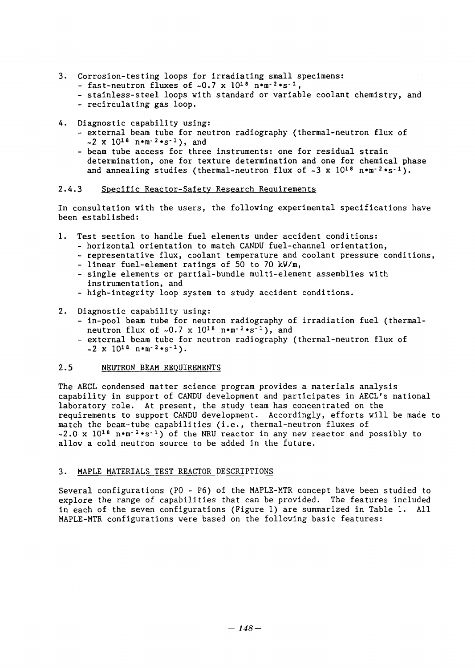- 3. Corrosion-testing loops for irradiating small specimens:
	- fast-neutron fluxes of  $\sim 0.7 \times 10^{18}$  nom<sup>-2</sup>\*s<sup>-1</sup>,
	- stainless-steel loops with standard or variable coolant chemistry, and
	- recirculating gas loop.
- 4. Diagnostic capability using:
	- external beam tube for neutron radiography (thermal-neutron flux of  $\sim 2 \times 10^{18}$  nom<sup>-2</sup>os<sup>-1</sup>), and
	- beam tube access for three instruments: one for residual strain determination, one for texture determination and one for chemical phase and annealing studies (thermal-neutron flux of  $\sim 3$  x  $10^{18}$  n $\cdot$ m<sup>-2</sup> $\cdot$ s<sup>-1</sup>).

### 2.4.3 Specific Reactor-Safety Research Requirements

In consultation with the users, the following experimental specifications have been established:

- 1. Test section to handle fuel elements under accident conditions:
	- horizontal orientation to match CANDU fuel-channel orientation,
	- representative flux, coolant temperature and coolant pressure conditions,
	- linear fuel-element ratings of 50 to 70 kW/m,
	- single elements or partial-bundle multi-element assemblies with instrumentation, and
	- high-integrity loop system to study accident conditions.
- 2. Diagnostic capability using:
	- in-pool beam tube for neutron radiography of irradiation fuel (thermalneutron flux of  $\sim 0.7 \times 10^{18}$  nom-2os-1), and
	- external beam tube for neutron radiography (thermal-neutron flux of  $\sim$  2 x 10<sup>18</sup> n.m<sup>-2</sup>.s<sup>-1</sup>).

### 2.5 NEUTRON BEAM REQUIREMENTS

The AECL condensed matter science program provides a materials analysis capability in support of CANDU development and participates in AECL's national laboratory role. At present, the study team has concentrated on the requirements to support CANDU development. Accordingly, efforts will be made to match the beam-tube capabilities (i.e., thermal-neutron fluxes of  $\sim$ 2.0 x 10<sup>18</sup> nom<sup>-2</sup>os<sup>-1</sup>) of the NRU reactor in any new reactor and possibly to allow a cold neutron source to be added in the future.

### 3. MAPLE MATERIALS TEST REACTOR DESCRIPTIONS

Several configurations (PO - P6) of the MAPLE-MTR concept have been studied to explore the range of capabilities that can be provided. The features included in each of the seven configurations (Figure 1) are summarized in Table 1. All MAPLE-MTR configurations were based on the following basic features: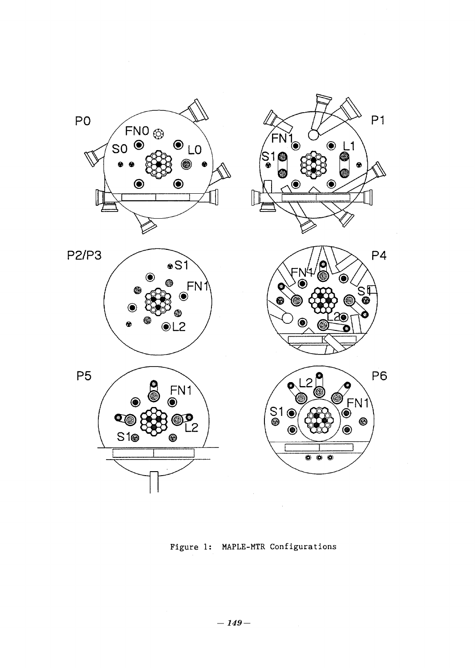

Figure 1: MAPLE-MTR Configurations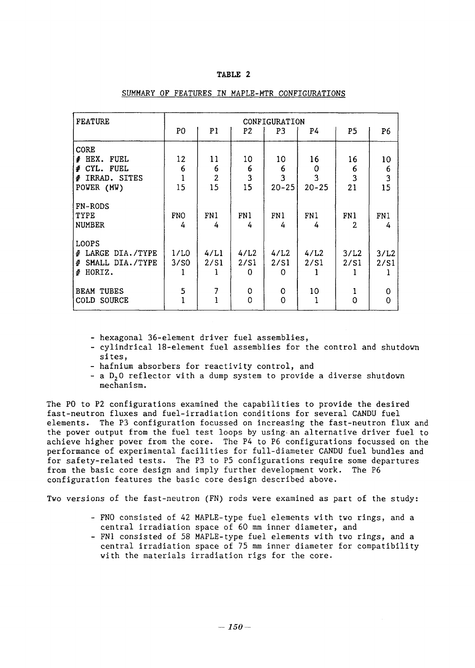# **TABLE 2**

| <b>FEATURE</b>                                        | CONFIGURATION<br>P <sub>0</sub><br>P1<br>P <sub>5</sub><br>P2<br>P3<br>P <sub>6</sub><br>P4 |              |                   |                          |              |                       |                         |  |  |  |
|-------------------------------------------------------|---------------------------------------------------------------------------------------------|--------------|-------------------|--------------------------|--------------|-----------------------|-------------------------|--|--|--|
|                                                       |                                                                                             |              |                   |                          |              |                       |                         |  |  |  |
| <b>CORE</b><br><b># HEX. FUEL</b><br># CYL. FUEL      | 12<br>6                                                                                     | 11<br>6      | 10<br>6           | 10<br>6                  | 16<br>0      | 16<br>6               | 10<br>6                 |  |  |  |
| # IRRAD. SITES                                        |                                                                                             | $\mathbf{2}$ | $\mathbf{3}$      | $\overline{\mathbf{3}}$  | 3            | 3                     | $\overline{\mathbf{3}}$ |  |  |  |
| POWER (MW)                                            | 15                                                                                          | 15           | 15                | $20 - 25$                | $20 - 25$    | 21                    | 15                      |  |  |  |
| <b>FN-RODS</b><br>TYPE<br><b>NUMBER</b>               | <b>FNO</b><br>4                                                                             | FN1<br>4     | FN1<br>4          | FN1<br>4                 | FN1<br>4     | FN1<br>$\overline{2}$ | FN1<br>4                |  |  |  |
| <b>LOOPS</b>                                          |                                                                                             |              |                   |                          |              |                       |                         |  |  |  |
| # LARGE DIA./TYPE<br># SMALL DIA./TYPE<br>HORIZ.<br>4 | 1/L0<br>3/50                                                                                | 4/L1<br>2/51 | 4/L2<br>2/S1<br>0 | 4/L2<br>2/51<br>$\Omega$ | 4/L2<br>2/51 | 3/L2<br>2/51          | 3/L2<br>2/S1            |  |  |  |
| <b>BEAM TUBES</b><br>COLD SOURCE                      | 5                                                                                           |              | 0<br>$\mathbf 0$  | 0<br>$\mathbf 0$         | 10           | 0                     | 0<br>$\overline{0}$     |  |  |  |

### SUMMARY OF FEATURES IN MAPLE-MTR CONFIGURATIONS

- hexagonal 36-element driver fuel assemblies,

- cylindrical 18-element fuel assemblies for the control and shutdown sites,
- hafnium absorbers for reactivity control, and
- a D<sub>2</sub>0 reflector with a dump system to provide a diverse shutdown mechanism.

The PO to P2 configurations examined the capabilities to provide the desired fast-neutron fluxes and fuel-irradiation conditions for several CANDU fuel elements. The P3 configuration focussed on increasing the fast-neutron flux and the power output from the fuel test loops by using-an alternative driver fuel to achieve higher power from the core. The P4 to P6 configurations focussed on the performance of experimental facilities for full-diameter CANDU fuel bundles and for safety-related tests. The P3 to P5 configurations require some departures from the basic core design and imply further development work. The P6 from the basic core design and imply further development work. configuration features the basic core design described above.

Two versions of the fast-neutron (FN) rods were examined as part of the study:

- FNO consisted of 42 MAPLE-type fuel elements with two rings, and a central irradiation space of 60 mm inner diameter, and
- FN1 consisted of 58 MAPLE-type fuel elements with two rings, and a central irradiation space of 75 mm inner diameter for compatibility with the materials irradiation rigs for the core.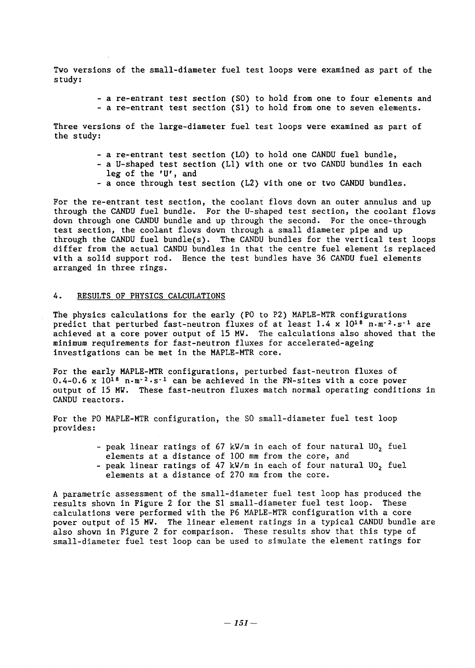Two versions of the small-diameter fuel test loops were examined as part of the study:

- a re-entrant test section (SO) to hold from one to four elements and
- a re-entrant test section (S1) to hold from one to seven elements.

Three versions of the large-diameter fuel test loops were examined as part of the study:

- a re-entrant test section (LO) to hold one CANDU fuel bundle,
- a U-shaped test section (Ll) with one or two CANDU bundles in each leg of the 'U', and
- a once through test section (L2) with one or two CANDU bundles.

For the re-entrant test section, the coolant flows down an outer annulus and up through the CANDU fuel bundle. For the U-shaped test section, the coolant flows down through one CANDU bundle and up through the second. For the once-through test section, the coolant flows down through a small diameter pipe and up through the CANDU fuel bundle(s). The CANDU bundles for the vertical test loops differ from the actual CANDU bundles in that the centre fuel element is replaced with a solid support rod. Hence the test bundles have 36 CANDU fuel elements arranged in three rings.

#### 4. RESULTS OF PHYSICS CALCULATIONS

The physics calculations for the early (PO to P2) MAPLE-MTR configurations predict that perturbed fast-neutron fluxes of at least  $1.4 \times 10^{18}$  n.m<sup>-2</sup>.s<sup>-1</sup> are achieved at a core power output of 15 MW. The calculations also showed that the minimum requirements for fast-neutron fluxes for accelerated-ageing investigations can be met in the MAPLE-MTR core.

For the early MAPLE-MTR configurations, perturbed fast-neutron fluxes of  $0.4-0.6 \times 10^{18}$  n·m<sup>-2</sup>·s<sup>-1</sup> can be achieved in the FN-sites with a core power output of 15 MV. These fast-neutron fluxes match normal operating conditions in CANDU reactors.

For the PO MAPLE-MTR configuration, the SO small-diameter fuel test loop provides:

> - peak linear ratings of  $67$  kW/m in each of four natural UO<sub>2</sub> fuel elements at a distance of 100 mm from the core, and - peak linear ratings of 47 kW/m in each of four natural UO, fuel elements at a distance of 270 mm from the core.

A parametric assessment of the small-diameter fuel test loop has produced the results shown in Figure 2 for the S1 small-diameter fuel test loop. These calculations were performed with the P6 MAPLE-MTR configuration with a core power output of 15 MV. The linear element ratings in a typical CANDU bundle are also shown in Figure 2 for comparison. These results show that this type of small-diameter fuel test loop can be used to simulate the element ratings for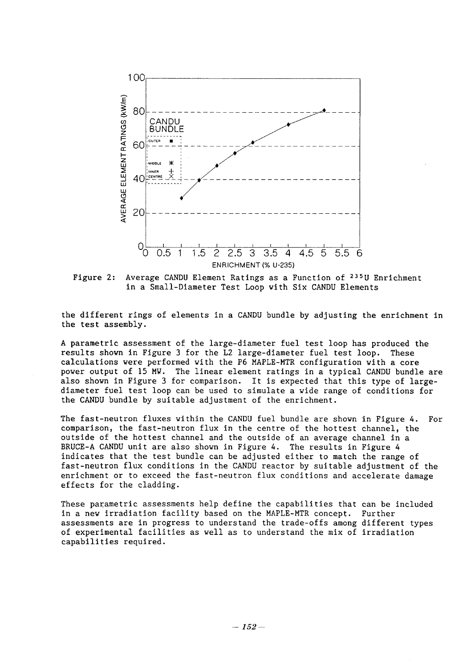

Figure 2: Average CANDU Element Ratings as a Function of <sup>235</sup>U Enrichment in a Small-Diameter Test Loop with Six CANDU Elements

the different rings of elements in a CANDU bundle by adjusting the enrichment in the test assembly.

A parametric assessment of the large-diameter fuel test loop has produced the results shown in Figure 3 for the L2 large-diameter fuel test loop. These calculations were performed with the P6 MAPLE-MTR configuration with a core power output of 15 MW. The linear element ratings in a typical CANDU bundle are also shown in Figure 3 for comparison. It is expected that this type of largediameter fuel test loop can be used to simulate a wide range of conditions for the CANDU bundle by suitable adjustment of the enrichment.

The fast-neutron fluxes within the CANDU fuel bundle are shown in Figure 4. For comparison, the fast-neutron flux in the centre of the hottest channel, the outside of the hottest channel and the outside of an average channel in a BRUCE-A CANDU unit are also shown in Figure 4. The results in Figure 4 indicates that the test bundle can be adjusted either to match the range of fast-neutron flux conditions in the CANDU reactor by suitable adjustment of the enrichment or to exceed the fast-neutron flux conditions and accelerate damage effects for the cladding.

These parametric assessments help define the capabilities that can be included In a new irradiation facility based on the MAPLE-MTR concept. Further assessments are in progress to understand the trade-offs among different types of experimental facilities as well as to understand the mix of irradiation capabilities required.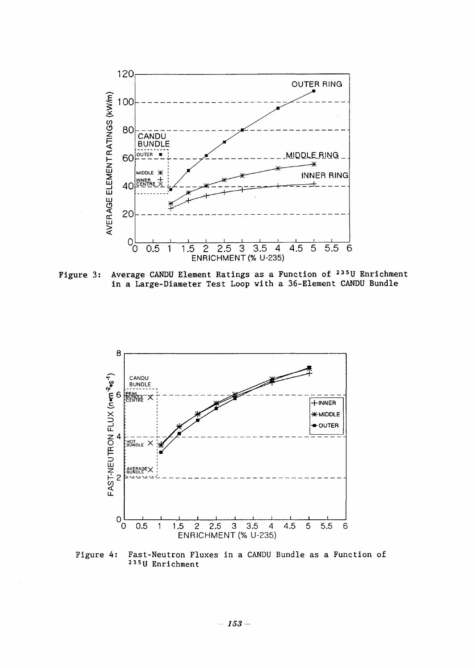

Figure 3: Average CANDU Element Ratings as a Function of <sup>235</sup>U Enrichment in a Large-Diameter Test Loop with a 36-Element CANDU Bundle



Figure 4: Fast-Neutron Fluxes in a CANDU Bundle as a Function of **23** 5U Enrichment